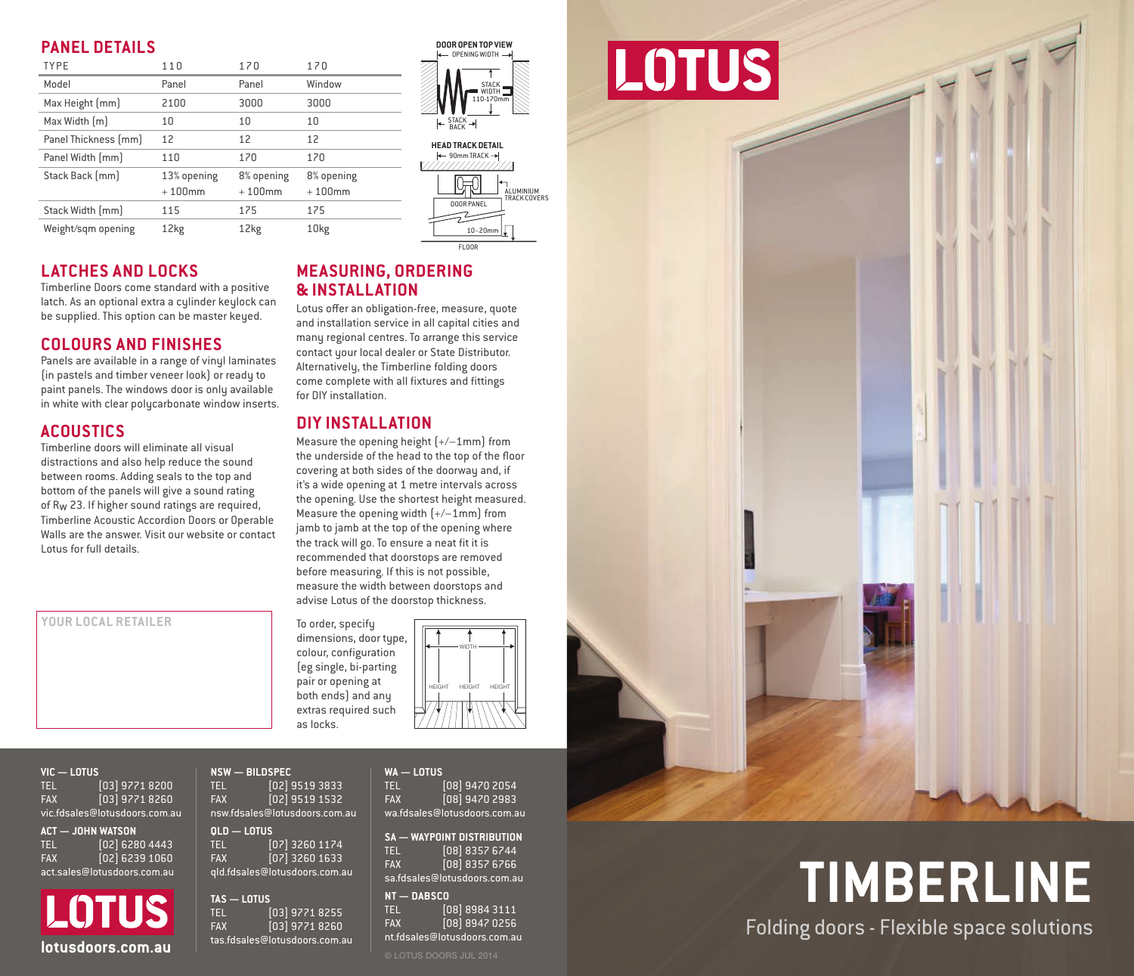### **PANEL DETAILS**

| Model<br>Window<br>Panel<br>Panel                                                                 | ST<br>Wi<br>$110 - 1$            |
|---------------------------------------------------------------------------------------------------|----------------------------------|
|                                                                                                   |                                  |
| Max Height [mm]<br>3000<br>2100<br>3000                                                           |                                  |
| Max Width [m]<br>10<br>10<br>10                                                                   | $\leftarrow$ STACK $\rightarrow$ |
| Panel Thickness [mm]<br>12<br>12<br>12                                                            | <b>HEAD TRACK DE</b>             |
| Panel Width [mm]<br>170<br>170<br>110                                                             | ← 90mm TRACK                     |
| Stack Back [mm]<br>13% opening<br>8% opening<br>8% opening<br>$+100$ mm<br>$+100$ mm<br>$+100$ mm |                                  |
| Stack Width [mm]<br>175<br>175<br>115                                                             | DOOR PANEL                       |
| 10kg<br>Weight/sqm opening<br>12kg<br>12kg                                                        | $10 - 20$                        |

### **LATCHES AND LOCKS**

Timberline Doors come standard with a positive latch. As an optional extra a cylinder keylock can be supplied. This option can be master keyed.

### **COLOURS AND FINISHES**

Panels are available in a range of vinul laminates (in pastels and timber veneer look) or ready to paint panels. The windows door is only available in white with clear polycarbonate window inserts.

### **ACOUSTICS**

Timberline doors will eliminate all visual distractions and also help reduce the sound between rooms. Adding seals to the top and bottom of the panels will give a sound rating of Rw 23. If higher sound ratings are required, Timberline Acoustic Accordion Doors or Operable Walls are the answer. Visit our website or contact Lotus for full details.

**YOUR LOCAL RETAILER**

### **MEASURING, ORDERING & INSTALLATION**

Lotus offer an obligation-free, measure, quote and installation service in all capital cities and many regional centres. To arrange this service contact your local dealer or State Distributor. Alternatively, the Timberline folding doors come complete with all fixtures and fittings for DIY installation.

OPENING WIDTH

**HEAD TRACK DETAIL**<br> $\leftarrow$  90mm TRACK  $\rightarrow$ 

EL OOL

 $10 - 20m$ 

STACK 110-170

.<br>ALUMINIUM<br>TRACK COVERS

### **DIY INSTALLATION**

Measure the opening height  $[+/1mm]$  from the underside of the head to the top of the floor covering at both sides of the doorway and, if it's a wide opening at 1 metre intervals across the opening. Use the shortest height measured. Measure the opening width  $[+/1mm]$  from jamb to jamb at the top of the opening where the track will go. To ensure a neat fit it is recommended that doorstops are removed before measuring. If this is not possible, measure the width between doorstops and advise Lotus of the doorstop thickness.

dimensions, door type, colour, configuration (eg single, bi-parting pair or opening at both ends) and any extras required such as locks.

To order, specify



**VIC — LOTUS** TEL [03] 9771 8200<br>FAX [03] 9771 8260 FAX [03] 9771 8260 vic.fdsales@lotusdoors.com.au **ACT — JOHN WATSON**

TEL [02] 6280 4443<br>FAX [02] 6239 1060  $F$ <sub>02</sub> $i$  6239 1060 act.sales@lotusdoors.com.au

LOTUS **lotusdoors.com.au** as.tosales@lotusdoors.com.au extractions.com.au extractions.com

| $NSW - BILDSPEC$              |                               |  |
|-------------------------------|-------------------------------|--|
| <b>TEL</b>                    | [02] 9519 3833                |  |
| <b>FAX</b>                    | [02] 9519 1532                |  |
|                               | nsw.fdsales@lotusdoors.com.au |  |
| $OLD - LOTUS$                 |                               |  |
| <b>TEL</b>                    | [07] 3260 1174                |  |
| <b>FAX</b>                    | [07] 3260 1633                |  |
| qld.fdsales@lotusdoors.com.au |                               |  |
| $\sim$ $\sim$ $\sim$ $\sim$   |                               |  |

**TAS — LOTUS** TEL [03] 9771 8255 FAX [03] 9771 8260 tas.fdsales@lotusdoors.com.au **WA — LOTUS** TEL [08] 9470 2054<br>FAX [08] 9470 2983  $\frac{1}{108}$  9470 2983 wa.fdsales@lotusdoors.com.au

**SA — WAYPOINT DISTRIBUTION** TEL [08] 8357 6744 FAX [08] 8357 6766 sa.fdsales@lotusdoors.com.au

**NT — DABSCO** TEL [08] 8984 3111 FAX [08] 8947 0256 nt.fdsales@lotusdoors.com.au

# DOOR OPEN TOP VIEW **90mm TRACK DE CHARGE TRACK DE CHARGE TRACK DE CHARGE TRACK DE CHARGE TRACK DE CHARGE TRACK DE**



**TIMBERLINE** Folding doors - Flexible space solutions